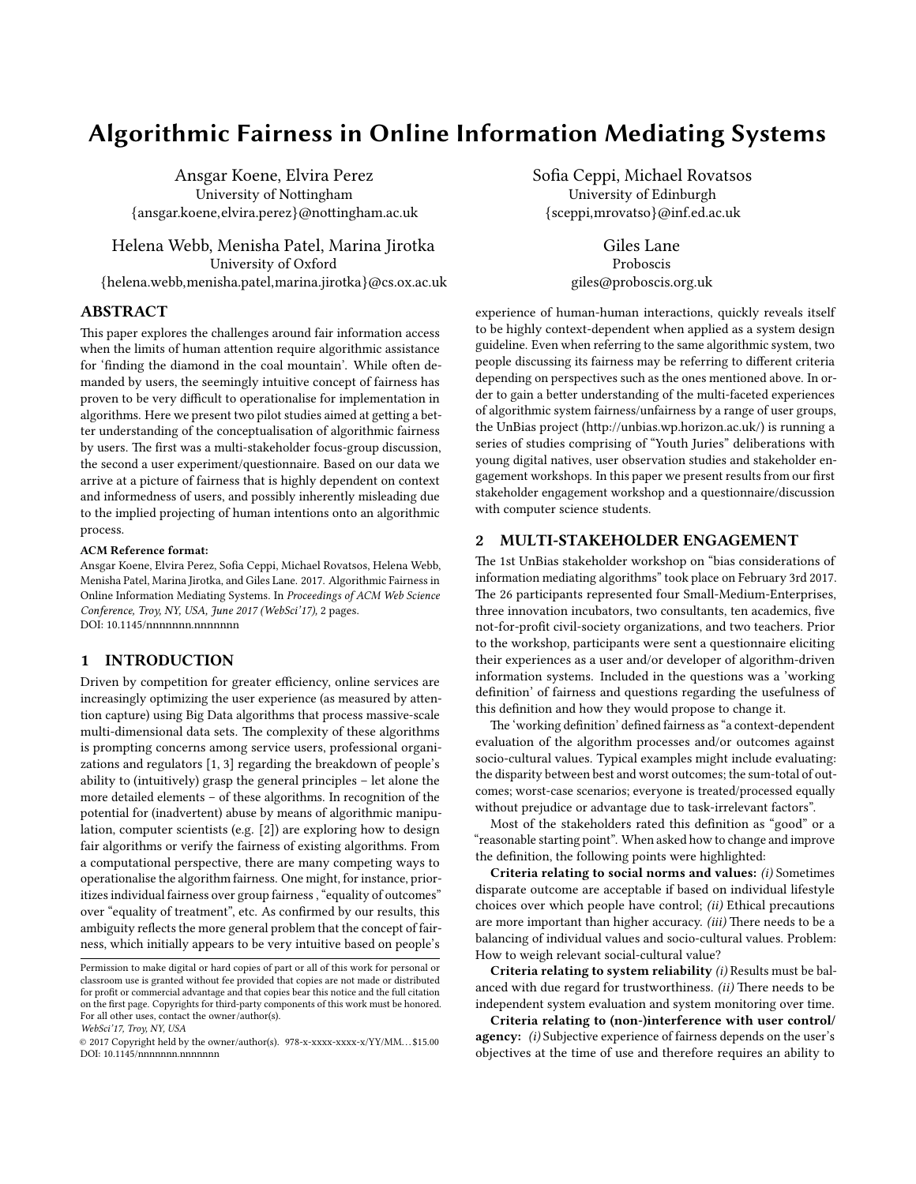# Algorithmic Fairness in Online Information Mediating Systems

Ansgar Koene, Elvira Perez University of Nottingham {ansgar.koene,elvira.perez}@nottingham.ac.uk

Helena Webb, Menisha Patel, Marina Jirotka University of Oxford {helena.webb,menisha.patel,marina.jirotka}@cs.ox.ac.uk

## ABSTRACT

This paper explores the challenges around fair information access when the limits of human attention require algorithmic assistance for 'finding the diamond in the coal mountain'. While often demanded by users, the seemingly intuitive concept of fairness has proven to be very difficult to operationalise for implementation in algorithms. Here we present two pilot studies aimed at getting a better understanding of the conceptualisation of algorithmic fairness by users. The first was a multi-stakeholder focus-group discussion, the second a user experiment/questionnaire. Based on our data we arrive at a picture of fairness that is highly dependent on context and informedness of users, and possibly inherently misleading due to the implied projecting of human intentions onto an algorithmic process.

#### ACM Reference format:

Ansgar Koene, Elvira Perez, Sofia Ceppi, Michael Rovatsos, Helena Webb, Menisha Patel, Marina Jirotka, and Giles Lane. 2017. Algorithmic Fairness in Online Information Mediating Systems. In Proceedings of ACM Web Science Conference, Troy, NY, USA, June 2017 (WebSci'17), [2](#page-1-0) pages. DOI: 10.1145/nnnnnnn.nnnnnnn

#### 1 INTRODUCTION

Driven by competition for greater efficiency, online services are increasingly optimizing the user experience (as measured by attention capture) using Big Data algorithms that process massive-scale multi-dimensional data sets. The complexity of these algorithms is prompting concerns among service users, professional organizations and regulators [\[1,](#page-1-1) [3\]](#page-1-2) regarding the breakdown of people's ability to (intuitively) grasp the general principles – let alone the more detailed elements – of these algorithms. In recognition of the potential for (inadvertent) abuse by means of algorithmic manipulation, computer scientists (e.g. [\[2\]](#page-1-3)) are exploring how to design fair algorithms or verify the fairness of existing algorithms. From a computational perspective, there are many competing ways to operationalise the algorithm fairness. One might, for instance, prioritizes individual fairness over group fairness , "equality of outcomes" over "equality of treatment", etc. As confirmed by our results, this ambiguity reflects the more general problem that the concept of fairness, which initially appears to be very intuitive based on people's

WebSci'17, Troy, NY, USA

Sofia Ceppi, Michael Rovatsos University of Edinburgh {sceppi,mrovatso}@inf.ed.ac.uk

> Giles Lane Proboscis giles@proboscis.org.uk

experience of human-human interactions, quickly reveals itself to be highly context-dependent when applied as a system design guideline. Even when referring to the same algorithmic system, two people discussing its fairness may be referring to different criteria depending on perspectives such as the ones mentioned above. In order to gain a better understanding of the multi-faceted experiences of algorithmic system fairness/unfairness by a range of user groups, the UnBias project (http://unbias.wp.horizon.ac.uk/) is running a series of studies comprising of "Youth Juries" deliberations with young digital natives, user observation studies and stakeholder engagement workshops. In this paper we present results from our first stakeholder engagement workshop and a questionnaire/discussion with computer science students.

#### 2 MULTI-STAKEHOLDER ENGAGEMENT

The 1st UnBias stakeholder workshop on "bias considerations of information mediating algorithms" took place on February 3rd 2017. The 26 participants represented four Small-Medium-Enterprises, three innovation incubators, two consultants, ten academics, five not-for-profit civil-society organizations, and two teachers. Prior to the workshop, participants were sent a questionnaire eliciting their experiences as a user and/or developer of algorithm-driven information systems. Included in the questions was a 'working definition' of fairness and questions regarding the usefulness of this definition and how they would propose to change it.

The 'working definition' defined fairness as "a context-dependent evaluation of the algorithm processes and/or outcomes against socio-cultural values. Typical examples might include evaluating: the disparity between best and worst outcomes; the sum-total of outcomes; worst-case scenarios; everyone is treated/processed equally without prejudice or advantage due to task-irrelevant factors".

Most of the stakeholders rated this definition as "good" or a "reasonable starting point". When asked how to change and improve the definition, the following points were highlighted:

Criteria relating to social norms and values: (i) Sometimes disparate outcome are acceptable if based on individual lifestyle choices over which people have control; (ii) Ethical precautions are more important than higher accuracy. (iii) There needs to be a balancing of individual values and socio-cultural values. Problem: How to weigh relevant social-cultural value?

Criteria relating to system reliability (i) Results must be balanced with due regard for trustworthiness.  $(ii)$  There needs to be independent system evaluation and system monitoring over time.

Criteria relating to (non-)interference with user control/ agency: (i) Subjective experience of fairness depends on the user's objectives at the time of use and therefore requires an ability to

Permission to make digital or hard copies of part or all of this work for personal or classroom use is granted without fee provided that copies are not made or distributed for profit or commercial advantage and that copies bear this notice and the full citation on the first page. Copyrights for third-party components of this work must be honored. For all other uses, contact the owner/author(s).

<sup>©</sup> 2017 Copyright held by the owner/author(s). 978-x-xxxx-xxxx-x/YY/MM. . . \$15.00 DOI: 10.1145/nnnnnnn.nnnnnnn